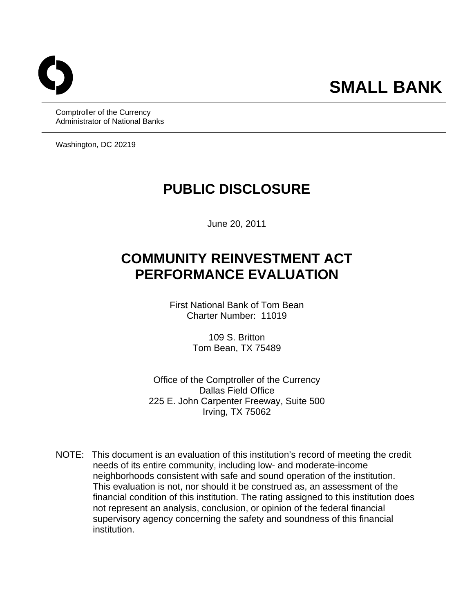# **SMALL BANK**

Comptroller of the Currency Administrator of National Banks

Washington, DC 20219

# **PUBLIC DISCLOSURE**

June 20, 2011

# **COMMUNITY REINVESTMENT ACT PERFORMANCE EVALUATION**

First National Bank of Tom Bean Charter Number: 11019

> 109 S. Britton Tom Bean, TX 75489

Office of the Comptroller of the Currency Dallas Field Office 225 E. John Carpenter Freeway, Suite 500 Irving, TX 75062

NOTE: This document is an evaluation of this institution's record of meeting the credit needs of its entire community, including low- and moderate-income neighborhoods consistent with safe and sound operation of the institution. This evaluation is not, nor should it be construed as, an assessment of the financial condition of this institution. The rating assigned to this institution does not represent an analysis, conclusion, or opinion of the federal financial supervisory agency concerning the safety and soundness of this financial institution.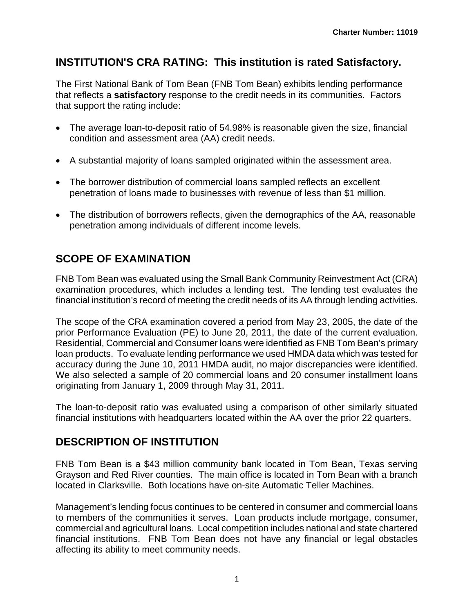# **INSTITUTION'S CRA RATING: This institution is rated Satisfactory.**

The First National Bank of Tom Bean (FNB Tom Bean) exhibits lending performance that reflects a **satisfactory** response to the credit needs in its communities. Factors that support the rating include:

- The average loan-to-deposit ratio of 54.98% is reasonable given the size, financial condition and assessment area (AA) credit needs.
- A substantial majority of loans sampled originated within the assessment area.
- The borrower distribution of commercial loans sampled reflects an excellent penetration of loans made to businesses with revenue of less than \$1 million.
- The distribution of borrowers reflects, given the demographics of the AA, reasonable penetration among individuals of different income levels.

# **SCOPE OF EXAMINATION**

FNB Tom Bean was evaluated using the Small Bank Community Reinvestment Act (CRA) examination procedures, which includes a lending test. The lending test evaluates the financial institution's record of meeting the credit needs of its AA through lending activities.

prior Performance Evaluation (PE) to June 20, 2011, the date of the current evaluation. The scope of the CRA examination covered a period from May 23, 2005, the date of the Residential, Commercial and Consumer loans were identified as FNB Tom Bean's primary loan products. To evaluate lending performance we used HMDA data which was tested for accuracy during the June 10, 2011 HMDA audit, no major discrepancies were identified. We also selected a sample of 20 commercial loans and 20 consumer installment loans originating from January 1, 2009 through May 31, 2011.

The loan-to-deposit ratio was evaluated using a comparison of other similarly situated financial institutions with headquarters located within the AA over the prior 22 quarters.

### **DESCRIPTION OF INSTITUTION**

FNB Tom Bean is a \$43 million community bank located in Tom Bean, Texas serving Grayson and Red River counties. The main office is located in Tom Bean with a branch located in Clarksville. Both locations have on-site Automatic Teller Machines.

Management's lending focus continues to be centered in consumer and commercial loans to members of the communities it serves. Loan products include mortgage, consumer, commercial and agricultural loans. Local competition includes national and state chartered financial institutions. FNB Tom Bean does not have any financial or legal obstacles affecting its ability to meet community needs.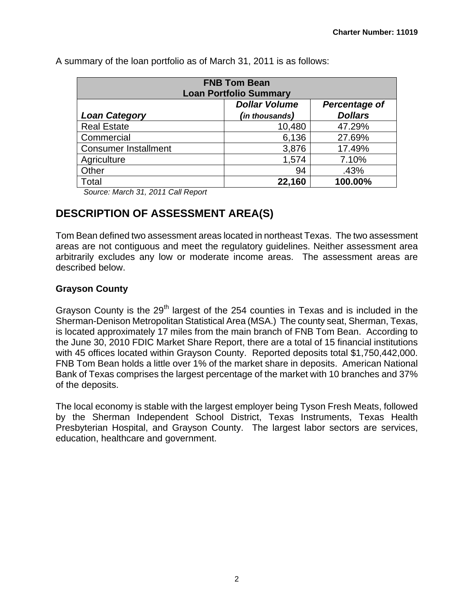| <b>FNB Tom Bean</b><br><b>Loan Portfolio Summary</b> |                |                |  |  |  |  |  |  |
|------------------------------------------------------|----------------|----------------|--|--|--|--|--|--|
| <b>Dollar Volume</b><br>Percentage of                |                |                |  |  |  |  |  |  |
| <b>Loan Category</b>                                 | (in thousands) | <b>Dollars</b> |  |  |  |  |  |  |
| <b>Real Estate</b>                                   | 10,480         | 47.29%         |  |  |  |  |  |  |
| Commercial                                           | 6,136          | 27.69%         |  |  |  |  |  |  |
| <b>Consumer Installment</b>                          | 3,876          | 17.49%         |  |  |  |  |  |  |
| Agriculture                                          | 1,574          | 7.10%          |  |  |  |  |  |  |
| Other                                                | 94             | .43%           |  |  |  |  |  |  |
| Total                                                | 22,160         | 100.00%        |  |  |  |  |  |  |

A summary of the loan portfolio as of March 31, 2011 is as follows:

*Source: March 31, 2011 Call Report* 

# **DESCRIPTION OF ASSESSMENT AREA(S)**

Tom Bean defined two assessment areas located in northeast Texas. The two assessment areas are not contiguous and meet the regulatory guidelines. Neither assessment area arbitrarily excludes any low or moderate income areas. The assessment areas are described below.

#### **Grayson County**

with 45 offices located within Grayson County. Reported deposits total \$1,750,442,000. Grayson County is the  $29<sup>th</sup>$  largest of the 254 counties in Texas and is included in the Sherman-Denison Metropolitan Statistical Area (MSA.) The county seat, Sherman, Texas, is located approximately 17 miles from the main branch of FNB Tom Bean. According to the June 30, 2010 FDIC Market Share Report, there are a total of 15 financial institutions FNB Tom Bean holds a little over 1% of the market share in deposits. American National Bank of Texas comprises the largest percentage of the market with 10 branches and 37% of the deposits.

The local economy is stable with the largest employer being Tyson Fresh Meats, followed by the Sherman Independent School District, Texas Instruments, Texas Health Presbyterian Hospital, and Grayson County. The largest labor sectors are services, education, healthcare and government.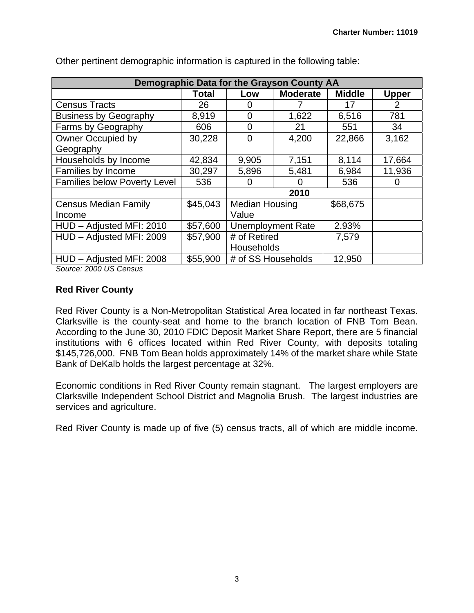|                                     |              |                          | Demographic Data for the Grayson County AA |               |              |
|-------------------------------------|--------------|--------------------------|--------------------------------------------|---------------|--------------|
|                                     | <b>Total</b> | Low                      | <b>Moderate</b>                            | <b>Middle</b> | <b>Upper</b> |
| <b>Census Tracts</b>                | 26           | $\mathbf{0}$             |                                            | 17            | 2            |
| <b>Business by Geography</b>        | 8,919        | 0                        | 1,622                                      | 6,516         | 781          |
| Farms by Geography                  | 606          | $\overline{0}$           | 21                                         | 551           | 34           |
| Owner Occupied by                   | 30,228       | $\Omega$                 | 4,200                                      | 22,866        | 3,162        |
| Geography                           |              |                          |                                            |               |              |
| Households by Income                | 42,834       | 9,905                    | 7,151                                      | 8,114         | 17,664       |
| Families by Income                  | 30,297       | 5,896                    | 5,481                                      | 6,984         | 11,936       |
| <b>Families below Poverty Level</b> | 536          | O                        |                                            | 536           |              |
|                                     |              |                          | 2010                                       |               |              |
| <b>Census Median Family</b>         | \$45,043     | <b>Median Housing</b>    |                                            | \$68,675      |              |
| Income                              |              | Value                    |                                            |               |              |
| HUD - Adjusted MFI: 2010            | \$57,600     | <b>Unemployment Rate</b> |                                            | 2.93%         |              |
| HUD - Adjusted MFI: 2009            | \$57,900     | # of Retired             |                                            | 7,579         |              |
|                                     |              | Households               |                                            |               |              |
| HUD - Adjusted MFI: 2008            | \$55,900     | # of SS Households       |                                            | 12,950        |              |

Other pertinent demographic information is captured in the following table:

*Source: 2000 US Census* 

#### **Red River County**

Clarksville is the county-seat and home to the branch location of FNB Tom Bean. Red River County is a Non-Metropolitan Statistical Area located in far northeast Texas. According to the June 30, 2010 FDIC Deposit Market Share Report, there are 5 financial institutions with 6 offices located within Red River County, with deposits totaling \$145,726,000. FNB Tom Bean holds approximately 14% of the market share while State Bank of DeKalb holds the largest percentage at 32%.

Economic conditions in Red River County remain stagnant. The largest employers are Clarksville Independent School District and Magnolia Brush. The largest industries are services and agriculture.

Red River County is made up of five (5) census tracts, all of which are middle income.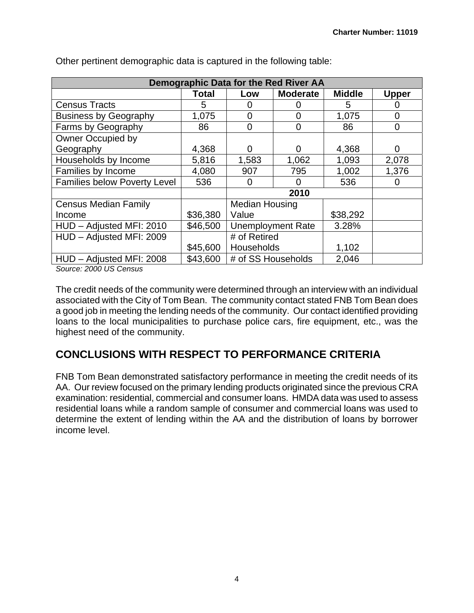|                                     |          |                          | Demographic Data for the Red River AA |               |              |
|-------------------------------------|----------|--------------------------|---------------------------------------|---------------|--------------|
|                                     | Total    | Low                      | <b>Moderate</b>                       | <b>Middle</b> | <b>Upper</b> |
| <b>Census Tracts</b>                | 5        | $\Omega$                 |                                       | 5             |              |
| <b>Business by Geography</b>        | 1,075    | $\overline{0}$           | $\overline{0}$                        | 1,075         | 0            |
| Farms by Geography                  | 86       | $\overline{0}$           | 0                                     | 86            | 0            |
| Owner Occupied by                   |          |                          |                                       |               |              |
| Geography                           | 4,368    | 0                        | 0                                     | 4,368         | 0            |
| Households by Income                | 5,816    | 1,583                    | 1,062                                 | 1,093         | 2,078        |
| Families by Income                  | 4,080    | 907                      | 795                                   | 1,002         | 1,376        |
| <b>Families below Poverty Level</b> | 536      | $\Omega$                 | 0                                     | 536           | O            |
|                                     |          |                          | 2010                                  |               |              |
| <b>Census Median Family</b>         |          | <b>Median Housing</b>    |                                       |               |              |
| Income                              | \$36,380 | Value                    |                                       | \$38,292      |              |
| HUD - Adjusted MFI: 2010            | \$46,500 | <b>Unemployment Rate</b> |                                       | 3.28%         |              |
| HUD - Adjusted MFI: 2009            |          | # of Retired             |                                       |               |              |
|                                     | \$45,600 | Households               |                                       | 1,102         |              |
| HUD - Adjusted MFI: 2008            | \$43,600 | # of SS Households       |                                       | 2,046         |              |

Other pertinent demographic data is captured in the following table:

*Source: 2000 US Census* 

The credit needs of the community were determined through an interview with an individual associated with the City of Tom Bean. The community contact stated FNB Tom Bean does a good job in meeting the lending needs of the community. Our contact identified providing loans to the local municipalities to purchase police cars, fire equipment, etc., was the highest need of the community.

# **CONCLUSIONS WITH RESPECT TO PERFORMANCE CRITERIA**

FNB Tom Bean demonstrated satisfactory performance in meeting the credit needs of its AA. Our review focused on the primary lending products originated since the previous CRA examination: residential, commercial and consumer loans. HMDA data was used to assess residential loans while a random sample of consumer and commercial loans was used to determine the extent of lending within the AA and the distribution of loans by borrower income level.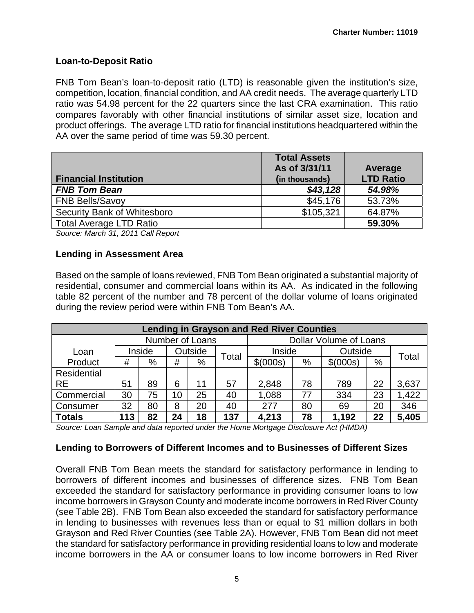#### **Loan-to-Deposit Ratio**

FNB Tom Bean's loan-to-deposit ratio (LTD) is reasonable given the institution's size, competition, location, financial condition, and AA credit needs. The average quarterly LTD ratio was 54.98 percent for the 22 quarters since the last CRA examination. This ratio compares favorably with other financial institutions of similar asset size, location and product offerings. The average LTD ratio for financial institutions headquartered within the AA over the same period of time was 59.30 percent.

|                                | <b>Total Assets</b><br>As of 3/31/11 | Average          |
|--------------------------------|--------------------------------------|------------------|
| <b>Financial Institution</b>   | (in thousands)                       | <b>LTD Ratio</b> |
| <b>FNB Tom Bean</b>            | \$43,128                             | 54.98%           |
| <b>FNB Bells/Savoy</b>         | \$45,176                             | 53.73%           |
| Security Bank of Whitesboro    | \$105,321                            | 64.87%           |
| <b>Total Average LTD Ratio</b> |                                      | 59.30%           |

*Source: March 31, 2011 Call Report* 

#### **Lending in Assessment Area**

Based on the sample of loans reviewed, FNB Tom Bean originated a substantial majority of residential, consumer and commercial loans within its AA. As indicated in the following table 82 percent of the number and 78 percent of the dollar volume of loans originated during the review period were within FNB Tom Bean's AA.

| <b>Lending in Grayson and Red River Counties</b> |                 |        |    |         |                        |          |    |           |    |       |
|--------------------------------------------------|-----------------|--------|----|---------|------------------------|----------|----|-----------|----|-------|
|                                                  | Number of Loans |        |    |         | Dollar Volume of Loans |          |    |           |    |       |
| Loan                                             |                 | Inside |    | Outside | Total                  | Inside   |    | Outside   |    | Total |
| Product                                          | #               | %      | #  | %       |                        | \$(000s) | %  | \$ (000s) | %  |       |
| <b>Residential</b>                               |                 |        |    |         |                        |          |    |           |    |       |
| <b>RE</b>                                        | 51              | 89     | 6  | 11      | 57                     | 2,848    | 78 | 789       | 22 | 3,637 |
| Commercial                                       | 30              | 75     | 10 | 25      | 40                     | 1,088    | 77 | 334       | 23 | 1,422 |
| Consumer                                         | 32              | 80     | 8  | 20      | 40                     | 277      | 80 | 69        | 20 | 346   |
| <b>Totals</b>                                    | 113             | 82     | 24 | 18      | 137                    | 4,213    | 78 | 1,192     | 22 | 5,405 |

*Source: Loan Sample and data reported under the Home Mortgage Disclosure Act (HMDA)* 

#### **Lending to Borrowers of Different Incomes and to Businesses of Different Sizes**

Overall FNB Tom Bean meets the standard for satisfactory performance in lending to borrowers of different incomes and businesses of difference sizes. FNB Tom Bean exceeded the standard for satisfactory performance in providing consumer loans to low income borrowers in Grayson County and moderate income borrowers in Red River County (see Table 2B). FNB Tom Bean also exceeded the standard for satisfactory performance in lending to businesses with revenues less than or equal to \$1 million dollars in both Grayson and Red River Counties (see Table 2A). However, FNB Tom Bean did not meet the standard for satisfactory performance in providing residential loans to low and moderate income borrowers in the AA or consumer loans to low income borrowers in Red River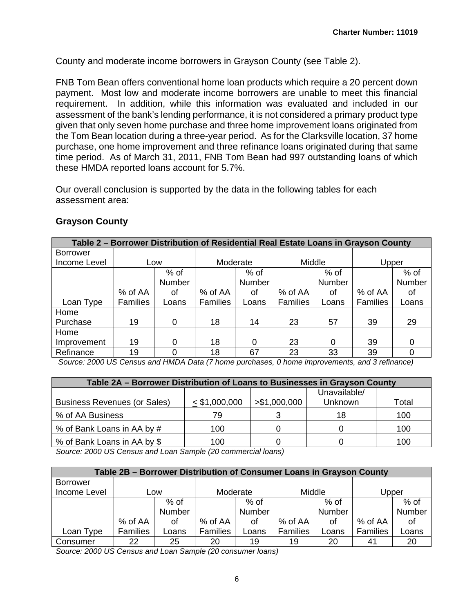County and moderate income borrowers in Grayson County (see Table 2).

FNB Tom Bean offers conventional home loan products which require a 20 percent down payment. Most low and moderate income borrowers are unable to meet this financial requirement. In addition, while this information was evaluated and included in our assessment of the bank's lending performance, it is not considered a primary product type given that only seven home purchase and three home improvement loans originated from the Tom Bean location during a three-year period. As for the Clarksville location, 37 home purchase, one home improvement and three refinance loans originated during that same time period. As of March 31, 2011, FNB Tom Bean had 997 outstanding loans of which these HMDA reported loans account for 5.7%.

Our overall conclusion is supported by the data in the following tables for each assessment area:

| Table 2 – Borrower Distribution of Residential Real Estate Loans in Grayson County |                 |        |                 |        |                 |        |                 |        |  |
|------------------------------------------------------------------------------------|-----------------|--------|-----------------|--------|-----------------|--------|-----------------|--------|--|
| <b>Borrower</b>                                                                    |                 |        |                 |        |                 |        |                 |        |  |
| Income Level                                                                       |                 | Low    | Moderate        |        | Middle          |        | Upper           |        |  |
|                                                                                    |                 | $%$ of |                 | $%$ of |                 | $%$ of |                 | $%$ of |  |
|                                                                                    |                 | Number |                 | Number |                 | Number |                 | Number |  |
|                                                                                    | % of AA         | 0f     | % of AA         | οf     | % of AA         | οf     | % of AA         | οf     |  |
| Loan Type                                                                          | <b>Families</b> | Loans  | <b>Families</b> | Loans  | <b>Families</b> | Loans  | <b>Families</b> | Loans  |  |
| Home                                                                               |                 |        |                 |        |                 |        |                 |        |  |
| Purchase                                                                           | 19              | 0      | 18              | 14     | 23              | 57     | 39              | 29     |  |
| Home                                                                               |                 |        |                 |        |                 |        |                 |        |  |
| Improvement                                                                        | 19              | 0      | 18              | 0      | 23              | 0      | 39              | 0      |  |
| Refinance                                                                          | 19              |        | 18              | 67     | 23              | 33     | 39              |        |  |

#### **Grayson County**

 *Source: 2000 US Census and HMDA Data (7 home purchases, 0 home improvements, and 3 refinance)* 

| Table 2A – Borrower Distribution of Loans to Businesses in Grayson County |                 |               |                         |       |  |  |  |  |
|---------------------------------------------------------------------------|-----------------|---------------|-------------------------|-------|--|--|--|--|
| <b>Business Revenues (or Sales)</b>                                       | $<$ \$1,000,000 | > \$1,000,000 | Unavailable/<br>Unknown | Total |  |  |  |  |
| % of AA Business                                                          | 79              |               |                         | 100   |  |  |  |  |
| % of Bank Loans in AA by #                                                | 100             |               |                         | 100   |  |  |  |  |
| % of Bank Loans in AA by \$                                               | 100             |               |                         | 100   |  |  |  |  |

 *Source: 2000 US Census and Loan Sample (20 commercial loans)* 

| Table 2B - Borrower Distribution of Consumer Loans in Grayson County |                 |        |                 |        |                 |        |                 |        |  |  |
|----------------------------------------------------------------------|-----------------|--------|-----------------|--------|-----------------|--------|-----------------|--------|--|--|
| <b>Borrower</b>                                                      |                 |        |                 |        |                 |        |                 |        |  |  |
| Income Level                                                         | Low             |        | Moderate        |        | Middle          |        | Upper           |        |  |  |
|                                                                      |                 | $%$ of |                 | $%$ of |                 | $%$ of |                 | $%$ of |  |  |
|                                                                      |                 | Number |                 | Number |                 | Number |                 | Number |  |  |
|                                                                      | % of AA         | οf     | % of AA         | οf     | % of AA         | οf     | % of AA         | Ωt     |  |  |
| Loan Type                                                            | <b>Families</b> | Loans  | <b>Families</b> | Loans  | <b>Families</b> | Loans  | <b>Families</b> | Loans  |  |  |
| Consumer                                                             | 22              | 25     | 20              | 19     | 19              | 20     | 41              | 20     |  |  |

 *Source: 2000 US Census and Loan Sample (20 consumer loans)*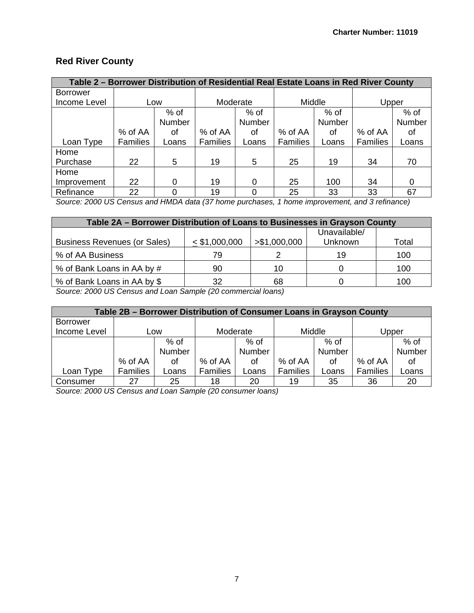## **Red River County**

| Table 2 – Borrower Distribution of Residential Real Estate Loans in Red River County |                 |        |                 |          |                 |        |                 |        |  |  |
|--------------------------------------------------------------------------------------|-----------------|--------|-----------------|----------|-----------------|--------|-----------------|--------|--|--|
| <b>Borrower</b>                                                                      |                 |        |                 |          |                 |        |                 |        |  |  |
| Income Level                                                                         |                 | Low    | Moderate        |          | Middle          |        | Upper           |        |  |  |
|                                                                                      |                 | $%$ of |                 | $%$ of   |                 | $%$ of |                 | $%$ of |  |  |
|                                                                                      |                 | Number |                 | Number   |                 | Number |                 | Number |  |  |
|                                                                                      | % of AA         | οf     | % of AA         | οf       | % of AA         | 0f     | % of AA         | οt     |  |  |
| Loan Type                                                                            | <b>Families</b> | Loans  | <b>Families</b> | Loans    | <b>Families</b> | Loans  | <b>Families</b> | Loans  |  |  |
| Home                                                                                 |                 |        |                 |          |                 |        |                 |        |  |  |
| Purchase                                                                             | 22              | 5      | 19              | 5        | 25              | 19     | 34              | 70     |  |  |
| Home                                                                                 |                 |        |                 |          |                 |        |                 |        |  |  |
| Improvement                                                                          | 22              | 0      | 19              | 0        | 25              | 100    | 34              |        |  |  |
| Refinance                                                                            | 22              | 0      | 19              | $\Omega$ | 25              | 33     | 33              | 67     |  |  |

*Source: 2000 US Census and HMDA data (37 home purchases, 1 home improvement, and 3 refinance)* 

| Table 2A - Borrower Distribution of Loans to Businesses in Grayson County |                 |               |              |       |  |  |  |  |  |
|---------------------------------------------------------------------------|-----------------|---------------|--------------|-------|--|--|--|--|--|
|                                                                           |                 |               | Unavailable/ |       |  |  |  |  |  |
| <b>Business Revenues (or Sales)</b>                                       | $<$ \$1,000,000 | > \$1,000,000 | Unknown      | Total |  |  |  |  |  |
| % of AA Business                                                          | 79              |               | 19           | 100   |  |  |  |  |  |
| % of Bank Loans in AA by #                                                | 90              | 10            |              | 100   |  |  |  |  |  |
| % of Bank Loans in AA by \$                                               | 32              | 68            |              | 100   |  |  |  |  |  |

 *Source: 2000 US Census and Loan Sample (20 commercial loans)* 

| Table 2B – Borrower Distribution of Consumer Loans in Grayson County |                 |        |                 |               |                 |               |          |        |  |  |
|----------------------------------------------------------------------|-----------------|--------|-----------------|---------------|-----------------|---------------|----------|--------|--|--|
| Borrower                                                             |                 |        |                 |               |                 |               |          |        |  |  |
| Income Level                                                         |                 | Low    |                 | Moderate      |                 | Middle        |          | Upper  |  |  |
|                                                                      |                 | % of   |                 | % of          |                 | % of          |          | % of   |  |  |
|                                                                      |                 | Number |                 | <b>Number</b> |                 | <b>Number</b> |          | Number |  |  |
|                                                                      | % of AA         | οf     | % of AA         | οf            | % of AA         | οf            | % of AA  | οf     |  |  |
| Loan Type                                                            | <b>Families</b> | Loans  | <b>Families</b> | Loans         | <b>Families</b> | Loans         | Families | Loans  |  |  |
| Consumer                                                             | 27              | 25     | 18              | 20            | 19              | 35            | 36       | 20     |  |  |

 *Source: 2000 US Census and Loan Sample (20 consumer loans)*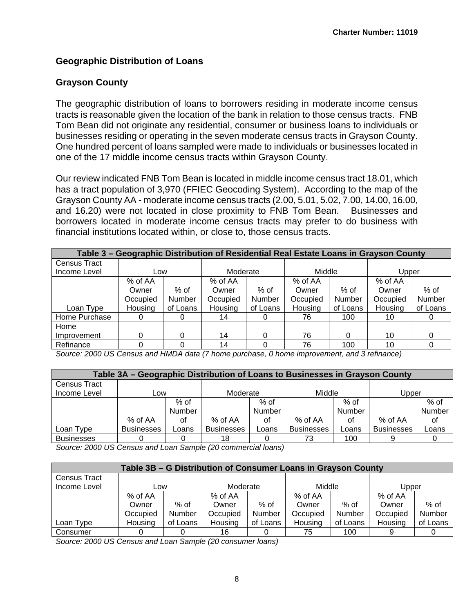#### **Geographic Distribution of Loans**

#### **Grayson County**

one of the 17 middle income census tracts within Grayson County. The geographic distribution of loans to borrowers residing in moderate income census tracts is reasonable given the location of the bank in relation to those census tracts. FNB Tom Bean did not originate any residential, consumer or business loans to individuals or businesses residing or operating in the seven moderate census tracts in Grayson County. One hundred percent of loans sampled were made to individuals or businesses located in

Our review indicated FNB Tom Bean is located in middle income census tract 18.01, which has a tract population of 3,970 (FFIEC Geocoding System). According to the map of the Grayson County AA - moderate income census tracts (2.00, 5.01, 5.02, 7.00, 14.00, 16.00, and 16.20) were not located in close proximity to FNB Tom Bean. Businesses and borrowers located in moderate income census tracts may prefer to do business with financial institutions located within, or close to, those census tracts.

| Table 3 – Geographic Distribution of Residential Real Estate Loans in Grayson County |              |          |          |          |          |          |          |               |  |  |
|--------------------------------------------------------------------------------------|--------------|----------|----------|----------|----------|----------|----------|---------------|--|--|
| <b>Census Tract</b>                                                                  |              |          |          |          |          |          |          |               |  |  |
| Income Level                                                                         | Low          |          | Moderate |          | Middle   |          | Upper    |               |  |  |
|                                                                                      | % of AA      |          | % of AA  |          | % of AA  |          | % of AA  |               |  |  |
|                                                                                      | Owner        | $%$ of   | Owner    | $%$ of   | Owner    | $%$ of   | Owner    | $%$ of        |  |  |
|                                                                                      | Occupied     | Number   | Occupied | Number   | Occupied | Number   | Occupied | <b>Number</b> |  |  |
| Loan Type                                                                            | Housing      | of Loans | Housing  | of Loans | Housing  | of Loans | Housing  | of Loans      |  |  |
| Home Purchase                                                                        | $\mathbf{0}$ |          | 14       |          | 76       | 100      | 10       |               |  |  |
| Home                                                                                 |              |          |          |          |          |          |          |               |  |  |
| Improvement                                                                          | 0            |          | 14       |          | 76       | 0        | 10       |               |  |  |
| Refinance                                                                            |              |          | 14       |          | 76       | 100      | 10       |               |  |  |

 *Source: 2000 US Census and HMDA data (7 home purchase, 0 home improvement, and 3 refinance)* 

| Table 3A – Geographic Distribution of Loans to Businesses in Grayson County |                   |        |                   |        |                   |        |                   |        |  |  |  |  |
|-----------------------------------------------------------------------------|-------------------|--------|-------------------|--------|-------------------|--------|-------------------|--------|--|--|--|--|
| Census Tract                                                                |                   |        |                   |        |                   |        |                   |        |  |  |  |  |
| Income Level                                                                | Low               |        | Moderate          |        | Middle            |        | Upper             |        |  |  |  |  |
|                                                                             |                   | $%$ of |                   | $%$ of |                   | % of   |                   | % of   |  |  |  |  |
|                                                                             |                   | Number |                   | Number |                   | Number |                   | Number |  |  |  |  |
|                                                                             | % of AA           | οf     | $%$ of AA         | οf     | % of AA           | οf     | % of AA           | οf     |  |  |  |  |
| Loan Type                                                                   | <b>Businesses</b> | Loans  | <b>Businesses</b> | Loans  | <b>Businesses</b> | Loans  | <b>Businesses</b> | Loans  |  |  |  |  |
| <b>Businesses</b>                                                           |                   |        | 18                |        | 73                | 100    |                   |        |  |  |  |  |

 *Source: 2000 US Census and Loan Sample (20 commercial loans)* 

| Table 3B – G Distribution of Consumer Loans in Grayson County |          |          |          |          |          |          |          |          |  |  |  |  |
|---------------------------------------------------------------|----------|----------|----------|----------|----------|----------|----------|----------|--|--|--|--|
| Census Tract                                                  |          |          |          |          |          |          |          |          |  |  |  |  |
| Income Level                                                  | Low      |          | Moderate |          | Middle   |          | Upper    |          |  |  |  |  |
|                                                               | % of AA  |          | % of AA  |          | % of AA  |          | % of AA  |          |  |  |  |  |
|                                                               | Owner    | $%$ of   | Owner    | % of     | Owner    | % of     | Owner    | % of     |  |  |  |  |
|                                                               | Occupied | Number   | Occupied | Number   | Occupied | Number   | Occupied | Number   |  |  |  |  |
| Loan Type                                                     | Housing  | of Loans | Housing  | of Loans | Housing  | of Loans | Housing  | of Loans |  |  |  |  |
| Consumer                                                      |          |          | 16       |          | 75       | 100      |          |          |  |  |  |  |

 *Source: 2000 US Census and Loan Sample (20 consumer loans)*